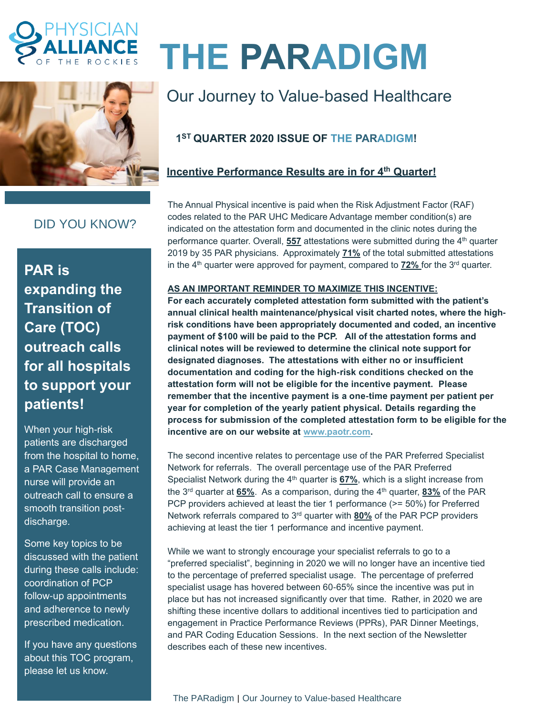



# DID YOU KNOW?

**PAR is expanding the Transition of Care (TOC) outreach calls for all hospitals to support your patients!**

When your high-risk patients are discharged from the hospital to home, a PAR Case Management nurse will provide an outreach call to ensure a smooth transition postdischarge.

Some key topics to be discussed with the patient during these calls include: coordination of PCP follow-up appointments and adherence to newly prescribed medication.

If you have any questions about this TOC program, please let us know.

# **THE PARADIGM**

# Our Journey to Value-based Healthcare

# **1 ST QUARTER 2020 ISSUE OF THE PARADIGM!**

## **Incentive Performance Results are in for 4 th Quarter!**

The Annual Physical incentive is paid when the Risk Adjustment Factor (RAF) codes related to the PAR UHC Medicare Advantage member condition(s) are indicated on the attestation form and documented in the clinic notes during the performance quarter. Overall, **557** attestations were submitted during the 4 th quarter 2019 by 35 PAR physicians. Approximately **71%** of the total submitted attestations in the 4<sup>th</sup> quarter were approved for payment, compared to 72% for the 3<sup>rd</sup> quarter.

#### **AS AN IMPORTANT REMINDER TO MAXIMIZE THIS INCENTIVE:**

**For each accurately completed attestation form submitted with the patient's annual clinical health maintenance/physical visit charted notes, where the highrisk conditions have been appropriately documented and coded, an incentive payment of \$100 will be paid to the PCP. All of the attestation forms and clinical notes will be reviewed to determine the clinical note support for designated diagnoses. The attestations with either no or insufficient documentation and coding for the high-risk conditions checked on the attestation form will not be eligible for the incentive payment. Please remember that the incentive payment is a one-time payment per patient per year for completion of the yearly patient physical. Details regarding the process for submission of the completed attestation form to be eligible for the incentive are on our website at [www.paotr.com.](http://www.paotr.com/)** 

The second incentive relates to percentage use of the PAR Preferred Specialist Network for referrals. The overall percentage use of the PAR Preferred Specialist Network during the 4<sup>th</sup> quarter is 67%, which is a slight increase from the 3 rd quarter at **65%**. As a comparison, during the 4 th quarter, **83%** of the PAR PCP providers achieved at least the tier 1 performance (>= 50%) for Preferred Network referrals compared to 3<sup>rd</sup> quarter with **80%** of the PAR PCP providers achieving at least the tier 1 performance and incentive payment.

While we want to strongly encourage your specialist referrals to go to a "preferred specialist", beginning in 2020 we will no longer have an incentive tied to the percentage of preferred specialist usage. The percentage of preferred specialist usage has hovered between 60-65% since the incentive was put in place but has not increased significantly over that time. Rather, in 2020 we are shifting these incentive dollars to additional incentives tied to participation and engagement in Practice Performance Reviews (PPRs), PAR Dinner Meetings, and PAR Coding Education Sessions. In the next section of the Newsletter describes each of these new incentives.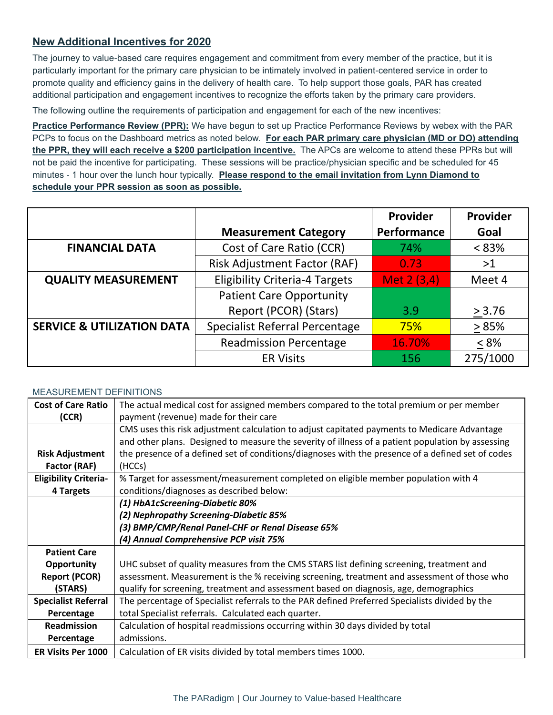### **New Additional Incentives for 2020**

The journey to value-based care requires engagement and commitment from every member of the practice, but it is particularly important for the primary care physician to be intimately involved in patient-centered service in order to promote quality and efficiency gains in the delivery of health care. To help support those goals, PAR has created additional participation and engagement incentives to recognize the efforts taken by the primary care providers.

The following outline the requirements of participation and engagement for each of the new incentives:

**Practice Performance Review (PPR):** We have begun to set up Practice Performance Reviews by webex with the PAR PCPs to focus on the Dashboard metrics as noted below. **For each PAR primary care physician (MD or DO) attending the PPR, they will each receive a \$200 participation incentive.** The APCs are welcome to attend these PPRs but will not be paid the incentive for participating. These sessions will be practice/physician specific and be scheduled for 45 minutes - 1 hour over the lunch hour typically. **Please respond to the email invitation from Lynn Diamond to schedule your PPR session as soon as possible.**

|                                       |                                       | Provider    | Provider |
|---------------------------------------|---------------------------------------|-------------|----------|
|                                       | <b>Measurement Category</b>           | Performance | Goal     |
| <b>FINANCIAL DATA</b>                 | Cost of Care Ratio (CCR)              | 74%         | $< 83\%$ |
|                                       | <b>Risk Adjustment Factor (RAF)</b>   | 0.73        | >1       |
| <b>QUALITY MEASUREMENT</b>            | <b>Eligibility Criteria-4 Targets</b> | Met 2 (3,4) | Meet 4   |
|                                       | <b>Patient Care Opportunity</b>       |             |          |
|                                       | Report (PCOR) (Stars)                 | 3.9         | > 3.76   |
| <b>SERVICE &amp; UTILIZATION DATA</b> | <b>Specialist Referral Percentage</b> | 75%         | >85%     |
|                                       | <b>Readmission Percentage</b>         | 16.70%      | $< 8\%$  |
|                                       | <b>ER Visits</b>                      | 156         | 275/1000 |

#### MEASUREMENT DEFINITIONS

| <b>Cost of Care Ratio</b>    | The actual medical cost for assigned members compared to the total premium or per member          |
|------------------------------|---------------------------------------------------------------------------------------------------|
| (CCR)                        | payment (revenue) made for their care                                                             |
|                              | CMS uses this risk adjustment calculation to adjust capitated payments to Medicare Advantage      |
|                              | and other plans. Designed to measure the severity of illness of a patient population by assessing |
| <b>Risk Adjustment</b>       | the presence of a defined set of conditions/diagnoses with the presence of a defined set of codes |
| Factor (RAF)                 | (HCCs)                                                                                            |
| <b>Eligibility Criteria-</b> | % Target for assessment/measurement completed on eligible member population with 4                |
| 4 Targets                    | conditions/diagnoses as described below:                                                          |
|                              | (1) HbA1cScreening-Diabetic 80%                                                                   |
|                              | (2) Nephropathy Screening-Diabetic 85%                                                            |
|                              | (3) BMP/CMP/Renal Panel-CHF or Renal Disease 65%                                                  |
|                              | (4) Annual Comprehensive PCP visit 75%                                                            |
| <b>Patient Care</b>          |                                                                                                   |
| Opportunity                  | UHC subset of quality measures from the CMS STARS list defining screening, treatment and          |
| <b>Report (PCOR)</b>         | assessment. Measurement is the % receiving screening, treatment and assessment of those who       |
| (STARS)                      | qualify for screening, treatment and assessment based on diagnosis, age, demographics             |
| <b>Specialist Referral</b>   | The percentage of Specialist referrals to the PAR defined Preferred Specialists divided by the    |
| Percentage                   | total Specialist referrals. Calculated each quarter.                                              |
| Readmission                  | Calculation of hospital readmissions occurring within 30 days divided by total                    |
| Percentage                   | admissions.                                                                                       |
| <b>ER Visits Per 1000</b>    | Calculation of ER visits divided by total members times 1000.                                     |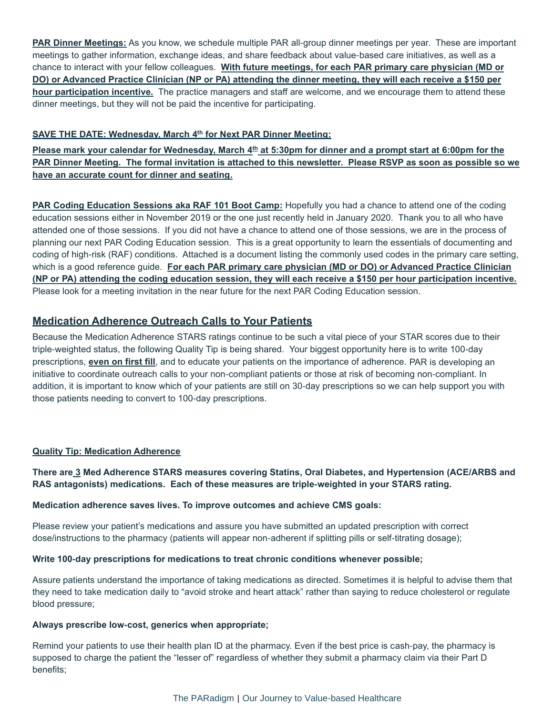**PAR Dinner Meetings:** As you know, we schedule multiple PAR all-group dinner meetings per year. These are important meetings to gather information, exchange ideas, and share feedback about value-based care initiatives, as well as a chance to interact with your fellow colleagues. **With future meetings, for each PAR primary care physician (MD or DO) or Advanced Practice Clinician (NP or PA) attending the dinner meeting, they will each receive a \$150 per hour participation incentive.** The practice managers and staff are welcome, and we encourage them to attend these dinner meetings, but they will not be paid the incentive for participating.

#### **SAVE THE DATE: Wednesday, March 4 th for Next PAR Dinner Meeting:**

Please mark your calendar for Wednesday, March 4<sup>th</sup> at 5:30pm for dinner and a prompt start at 6:00pm for the **PAR Dinner Meeting. The formal invitation is attached to this newsletter. Please RSVP as soon as possible so we have an accurate count for dinner and seating.**

**PAR Coding Education Sessions aka RAF 101 Boot Camp:** Hopefully you had a chance to attend one of the coding education sessions either in November 2019 or the one just recently held in January 2020. Thank you to all who have attended one of those sessions. If you did not have a chance to attend one of those sessions, we are in the process of planning our next PAR Coding Education session. This is a great opportunity to learn the essentials of documenting and coding of high-risk (RAF) conditions. Attached is a document listing the commonly used codes in the primary care setting, which is a good reference guide. **For each PAR primary care physician (MD or DO) or Advanced Practice Clinician (NP or PA) attending the coding education session, they will each receive a \$150 per hour participation incentive.** Please look for a meeting invitation in the near future for the next PAR Coding Education session.

#### **Medication Adherence Outreach Calls to Your Patients**

Because the Medication Adherence STARS ratings continue to be such a vital piece of your STAR scores due to their triple-weighted status, the following Quality Tip is being shared. Your biggest opportunity here is to write 100-day prescriptions, **even on first fill**, and to educate your patients on the importance of adherence. PAR is developing an initiative to coordinate outreach calls to your non-compliant patients or those at risk of becoming non-compliant. In addition, it is important to know which of your patients are still on 30-day prescriptions so we can help support you with those patients needing to convert to 100-day prescriptions.

#### **Quality Tip: Medication Adherence**

**There are 3 Med Adherence STARS measures covering Statins, Oral Diabetes, and Hypertension (ACE/ARBS and RAS antagonists) medications. Each of these measures are triple-weighted in your STARS rating.** 

#### **Medication adherence saves lives. To improve outcomes and achieve CMS goals:**

Please review your patient's medications and assure you have submitted an updated prescription with correct dose/instructions to the pharmacy (patients will appear non-adherent if splitting pills or self-titrating dosage);

#### **Write 100-day prescriptions for medications to treat chronic conditions whenever possible;**

Assure patients understand the importance of taking medications as directed. Sometimes it is helpful to advise them that they need to take medication daily to "avoid stroke and heart attack" rather than saying to reduce cholesterol or regulate blood pressure;

#### **Always prescribe low-cost, generics when appropriate;**

Remind your patients to use their health plan ID at the pharmacy. Even if the best price is cash-pay, the pharmacy is supposed to charge the patient the "lesser of" regardless of whether they submit a pharmacy claim via their Part D benefits;